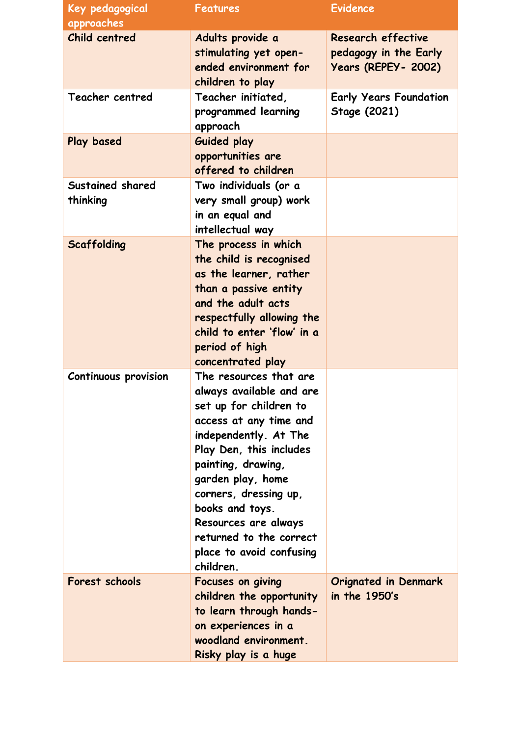| Key pedagogical              | <b>Features</b>                                                                                                                                                                                                                                                                                                                               | <b>Evidence</b>                                                           |
|------------------------------|-----------------------------------------------------------------------------------------------------------------------------------------------------------------------------------------------------------------------------------------------------------------------------------------------------------------------------------------------|---------------------------------------------------------------------------|
| approaches                   |                                                                                                                                                                                                                                                                                                                                               |                                                                           |
| Child centred                | Adults provide a<br>stimulating yet open-<br>ended environment for<br>children to play                                                                                                                                                                                                                                                        | Research effective<br>pedagogy in the Early<br><b>Years (REPEY- 2002)</b> |
| Teacher centred              | Teacher initiated,<br>programmed learning<br>approach                                                                                                                                                                                                                                                                                         | <b>Early Years Foundation</b><br>Stage (2021)                             |
| Play based                   | <b>Guided play</b><br>opportunities are<br>offered to children                                                                                                                                                                                                                                                                                |                                                                           |
| Sustained shared<br>thinking | Two individuals (or a<br>very small group) work<br>in an equal and<br>intellectual way                                                                                                                                                                                                                                                        |                                                                           |
| Scaffolding                  | The process in which<br>the child is recognised<br>as the learner, rather<br>than a passive entity<br>and the adult acts<br>respectfully allowing the<br>child to enter 'flow' in a<br>period of high<br>concentrated play                                                                                                                    |                                                                           |
| Continuous provision         | The resources that are<br>always available and are<br>set up for children to<br>access at any time and<br>independently. At The<br>Play Den, this includes<br>painting, drawing,<br>garden play, home<br>corners, dressing up,<br>books and toys.<br>Resources are always<br>returned to the correct<br>place to avoid confusing<br>children. |                                                                           |
| Forest schools               | Focuses on giving<br>children the opportunity<br>to learn through hands-<br>on experiences in a<br>woodland environment.<br>Risky play is a huge                                                                                                                                                                                              | <b>Orignated in Denmark</b><br>in the 1950's                              |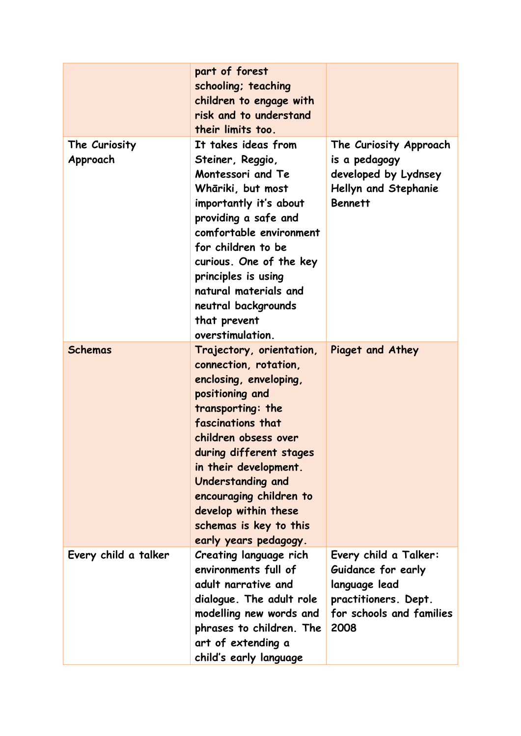|                           | part of forest<br>schooling; teaching<br>children to engage with<br>risk and to understand<br>their limits too.                                                                                                                                                                                                                                        |                                                                                                                          |
|---------------------------|--------------------------------------------------------------------------------------------------------------------------------------------------------------------------------------------------------------------------------------------------------------------------------------------------------------------------------------------------------|--------------------------------------------------------------------------------------------------------------------------|
| The Curiosity<br>Approach | It takes ideas from<br>Steiner, Reggio,<br>Montessori and Te<br>Whāriki, but most<br>importantly it's about<br>providing a safe and<br>comfortable environment<br>for children to be<br>curious. One of the key<br>principles is using<br>natural materials and<br>neutral backgrounds<br>that prevent<br>overstimulation.                             | The Curiosity Approach<br>is a pedagogy<br>developed by Lydnsey<br>Hellyn and Stephanie<br><b>Bennett</b>                |
| <b>Schemas</b>            | Trajectory, orientation,<br>connection, rotation,<br>enclosing, enveloping,<br>positioning and<br>transporting: the<br>fascinations that<br>children obsess over<br>during different stages<br>in their development.<br><b>Understanding and</b><br>encouraging children to<br>develop within these<br>schemas is key to this<br>early years pedagogy. | Piaget and Athey                                                                                                         |
| Every child a talker      | Creating language rich<br>environments full of<br>adult narrative and<br>dialogue. The adult role<br>modelling new words and<br>phrases to children. The<br>art of extending a<br>child's early language                                                                                                                                               | Every child a Talker:<br>Guidance for early<br>language lead<br>practitioners. Dept.<br>for schools and families<br>2008 |